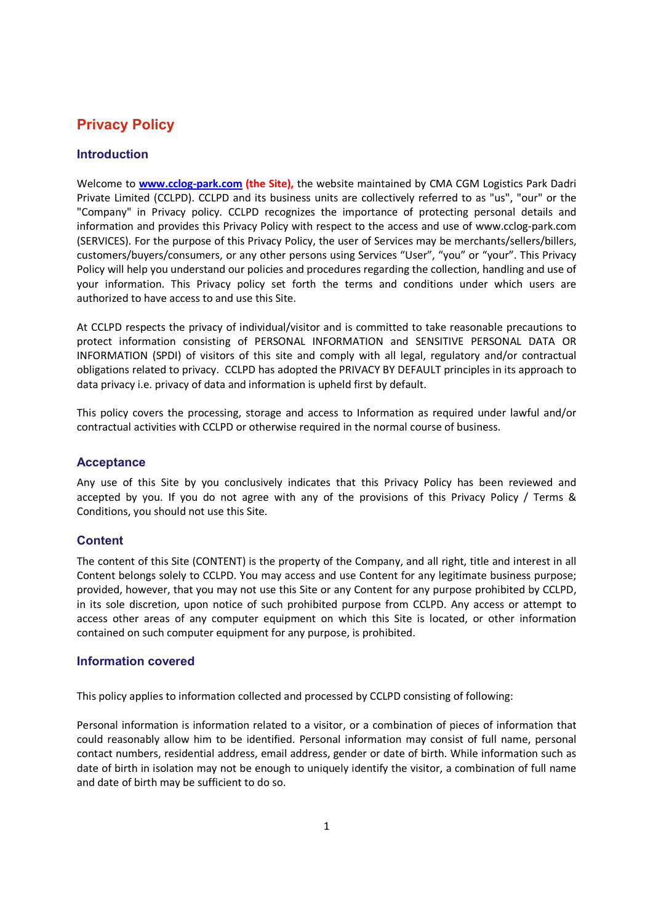# Privacy Policy

# Introduction

Welcome to www.cclog-park.com (the Site), the website maintained by CMA CGM Logistics Park Dadri Private Limited (CCLPD). CCLPD and its business units are collectively referred to as "us", "our" or the "Company" in Privacy policy. CCLPD recognizes the importance of protecting personal details and information and provides this Privacy Policy with respect to the access and use of www.cclog-park.com (SERVICES). For the purpose of this Privacy Policy, the user of Services may be merchants/sellers/billers, customers/buyers/consumers, or any other persons using Services "User", "you" or "your". This Privacy Policy will help you understand our policies and procedures regarding the collection, handling and use of your information. This Privacy policy set forth the terms and conditions under which users are authorized to have access to and use this Site.

At CCLPD respects the privacy of individual/visitor and is committed to take reasonable precautions to protect information consisting of PERSONAL INFORMATION and SENSITIVE PERSONAL DATA OR INFORMATION (SPDI) of visitors of this site and comply with all legal, regulatory and/or contractual obligations related to privacy. CCLPD has adopted the PRIVACY BY DEFAULT principles in its approach to data privacy i.e. privacy of data and information is upheld first by default.

This policy covers the processing, storage and access to Information as required under lawful and/or contractual activities with CCLPD or otherwise required in the normal course of business.

# Acceptance

Any use of this Site by you conclusively indicates that this Privacy Policy has been reviewed and accepted by you. If you do not agree with any of the provisions of this Privacy Policy / Terms & Conditions, you should not use this Site.

# **Content**

The content of this Site (CONTENT) is the property of the Company, and all right, title and interest in all Content belongs solely to CCLPD. You may access and use Content for any legitimate business purpose; provided, however, that you may not use this Site or any Content for any purpose prohibited by CCLPD, in its sole discretion, upon notice of such prohibited purpose from CCLPD. Any access or attempt to access other areas of any computer equipment on which this Site is located, or other information contained on such computer equipment for any purpose, is prohibited.

#### Information covered

This policy applies to information collected and processed by CCLPD consisting of following:

Personal information is information related to a visitor, or a combination of pieces of information that could reasonably allow him to be identified. Personal information may consist of full name, personal contact numbers, residential address, email address, gender or date of birth. While information such as date of birth in isolation may not be enough to uniquely identify the visitor, a combination of full name and date of birth may be sufficient to do so.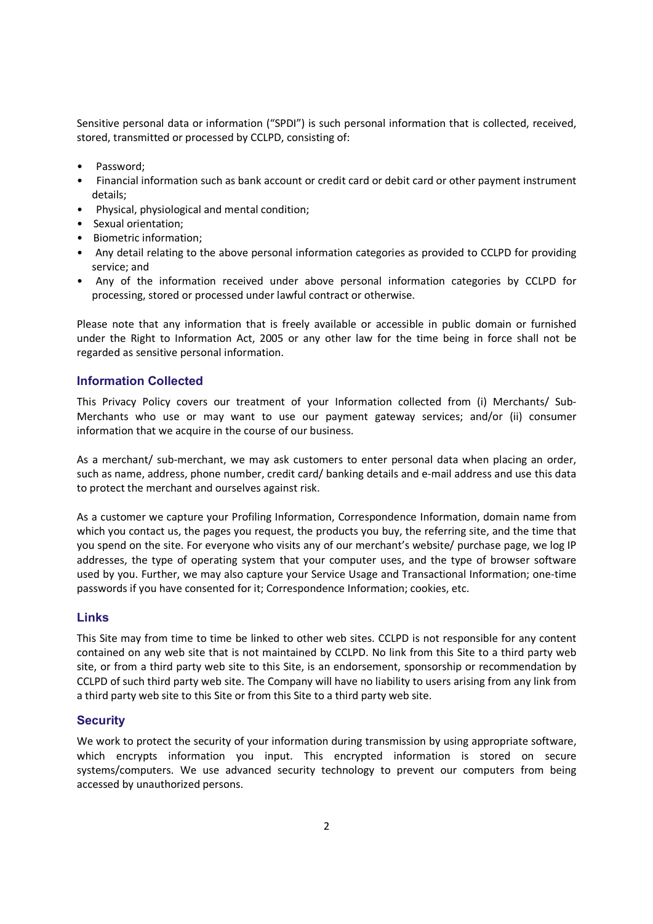Sensitive personal data or information ("SPDI") is such personal information that is collected, received, stored, transmitted or processed by CCLPD, consisting of:

- Password:
- Financial information such as bank account or credit card or debit card or other payment instrument details;
- Physical, physiological and mental condition;
- Sexual orientation;
- Biometric information;
- Any detail relating to the above personal information categories as provided to CCLPD for providing service; and
- Any of the information received under above personal information categories by CCLPD for processing, stored or processed under lawful contract or otherwise.

Please note that any information that is freely available or accessible in public domain or furnished under the Right to Information Act, 2005 or any other law for the time being in force shall not be regarded as sensitive personal information.

## Information Collected

This Privacy Policy covers our treatment of your Information collected from (i) Merchants/ Sub-Merchants who use or may want to use our payment gateway services; and/or (ii) consumer information that we acquire in the course of our business.

As a merchant/ sub-merchant, we may ask customers to enter personal data when placing an order, such as name, address, phone number, credit card/ banking details and e-mail address and use this data to protect the merchant and ourselves against risk.

As a customer we capture your Profiling Information, Correspondence Information, domain name from which you contact us, the pages you request, the products you buy, the referring site, and the time that you spend on the site. For everyone who visits any of our merchant's website/ purchase page, we log IP addresses, the type of operating system that your computer uses, and the type of browser software used by you. Further, we may also capture your Service Usage and Transactional Information; one-time passwords if you have consented for it; Correspondence Information; cookies, etc.

## Links

This Site may from time to time be linked to other web sites. CCLPD is not responsible for any content contained on any web site that is not maintained by CCLPD. No link from this Site to a third party web site, or from a third party web site to this Site, is an endorsement, sponsorship or recommendation by CCLPD of such third party web site. The Company will have no liability to users arising from any link from a third party web site to this Site or from this Site to a third party web site.

#### **Security**

We work to protect the security of your information during transmission by using appropriate software, which encrypts information you input. This encrypted information is stored on secure systems/computers. We use advanced security technology to prevent our computers from being accessed by unauthorized persons.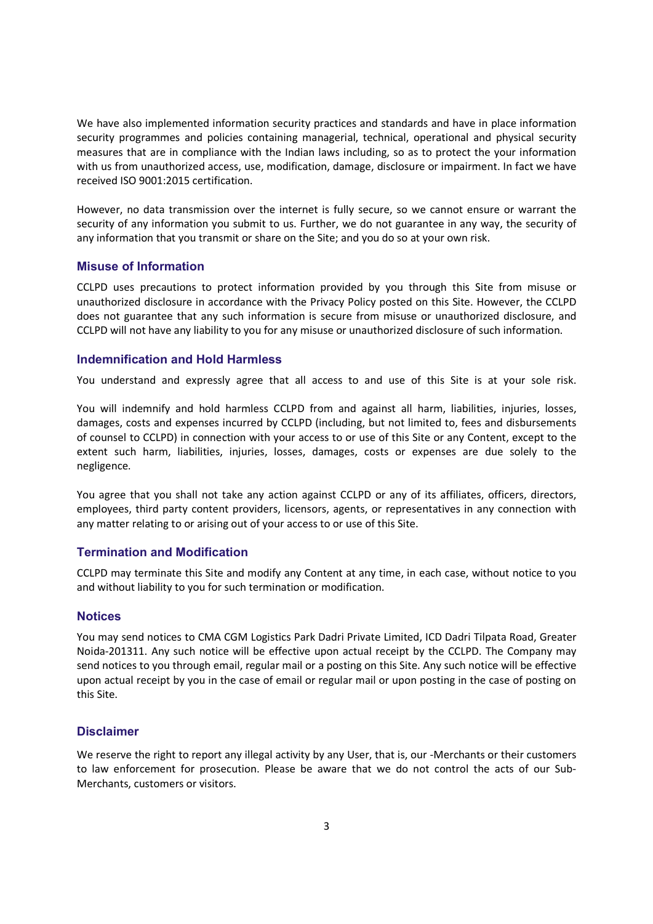We have also implemented information security practices and standards and have in place information security programmes and policies containing managerial, technical, operational and physical security measures that are in compliance with the Indian laws including, so as to protect the your information with us from unauthorized access, use, modification, damage, disclosure or impairment. In fact we have received ISO 9001:2015 certification.

However, no data transmission over the internet is fully secure, so we cannot ensure or warrant the security of any information you submit to us. Further, we do not guarantee in any way, the security of any information that you transmit or share on the Site; and you do so at your own risk.

# Misuse of Information

CCLPD uses precautions to protect information provided by you through this Site from misuse or unauthorized disclosure in accordance with the Privacy Policy posted on this Site. However, the CCLPD does not guarantee that any such information is secure from misuse or unauthorized disclosure, and CCLPD will not have any liability to you for any misuse or unauthorized disclosure of such information.

## Indemnification and Hold Harmless

You understand and expressly agree that all access to and use of this Site is at your sole risk.

You will indemnify and hold harmless CCLPD from and against all harm, liabilities, injuries, losses, damages, costs and expenses incurred by CCLPD (including, but not limited to, fees and disbursements of counsel to CCLPD) in connection with your access to or use of this Site or any Content, except to the extent such harm, liabilities, injuries, losses, damages, costs or expenses are due solely to the negligence.

You agree that you shall not take any action against CCLPD or any of its affiliates, officers, directors, employees, third party content providers, licensors, agents, or representatives in any connection with any matter relating to or arising out of your access to or use of this Site.

## Termination and Modification

CCLPD may terminate this Site and modify any Content at any time, in each case, without notice to you and without liability to you for such termination or modification.

#### Notices

You may send notices to CMA CGM Logistics Park Dadri Private Limited, ICD Dadri Tilpata Road, Greater Noida-201311. Any such notice will be effective upon actual receipt by the CCLPD. The Company may send notices to you through email, regular mail or a posting on this Site. Any such notice will be effective upon actual receipt by you in the case of email or regular mail or upon posting in the case of posting on this Site.

### **Disclaimer**

We reserve the right to report any illegal activity by any User, that is, our -Merchants or their customers to law enforcement for prosecution. Please be aware that we do not control the acts of our Sub-Merchants, customers or visitors.